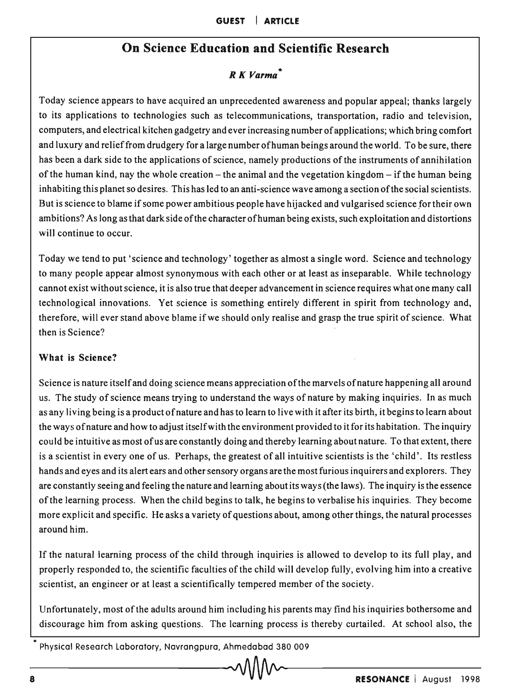# **On Science Education and Scientific Research**

## **RK** *Varma·*

Today science appears to have acquired an unprecedented awareness and popular appeal; thanks largely to its applications to technologies such as telecommunications, transportation, radio and television, computers, and electrical kitchen gadgetry and ever increasing number of applications; whicb bring comfort and luxury and relief from drudgery for a large number of human beings around the world. To be sure, there has been a dark side to the applications of science, namely productions of the instruments of annihilation of the human kind, nay the whole creation - the animal and the vegetation kingdom - if the human being inhabiting this planet so desires. This has led to an anti-science wave among a section of the social scientists. But is science to blame if some power ambitious people have hijacked and vulgarised science for their own ambitions? As long as that dark side ofthe character of human being exists, such exploitation and distortions will continue to occur.

Today we tend to put 'science and technology' together as almost a single word. Science and technology to many people appear almost synonymous with each other or at least as inseparable. While technology cannot exist without science, it is also true that deeper advancement in science requires what one many call technological innovations. Yet science is something entirely different in spirit from technology and, therefore, will ever stand above blame if we should only realise and grasp the true spirit of science. What then is Science?

## What is Science?

Science is nature itself and doing science means appreciation ofthe marvels of nature happening all around us. The study of science means trying to understand the ways of nature by making inquiries. In as much as any living being is a product of nature and has to learn to live with it after its birth, it begins to learn about the ways of nature and how to adjust itselfwith the environment provided to it for its habitation. The inquiry could be intuitive as most of us are constantly doing and thereby learning about nature. To that extent, there is a scientist in everyone of us. Perhaps, the greatest of all intuitive scientists is the 'child'. Its restless hands and eyes and its alert ears and other sensory organs are the most furious inquirers and explorers. They are constantly seeing and feeling the nature and learning about its ways (the laws). The inquiry is the essence of the learning process. When the child begins to talk, he begins to verbalise his inquiries. They become more explicit and specific. He asks a variety of questions about, among other things, the natural processes around him.

If the natural learning process of the child through inquiries is allowed to develop to its full play, and properly responded to, the scientific faculties of the child will develop fully, evolving him into a creative scientist, an engineer or at least a scientifically tempered member of the society.

Unfortunately, most of the adults around him including his parents may find his inquiries bothersome and discourage him from asking questions. The learning process is thereby curtailed. At school also, the

Physical Research Laboratory, Navrangpura, Ahmedabad 380 009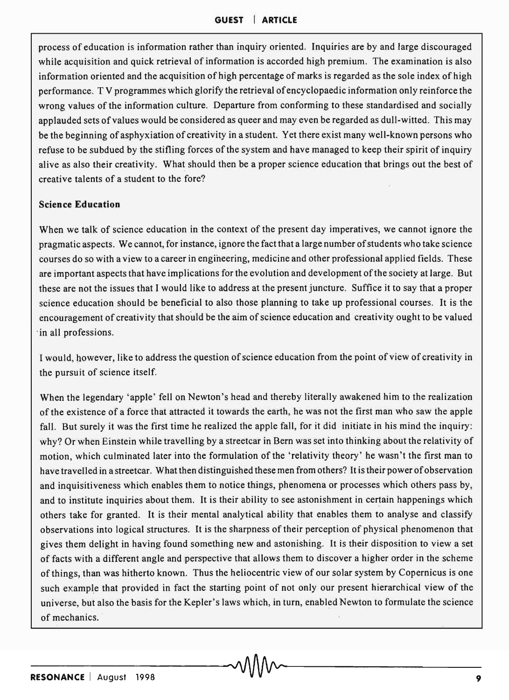process of education is information rather than inquiry oriented. Inquiries are by and large discouraged while acquisition and quick retrieval of information is accorded high premium. The examination is also information oriented and the acquisition of high percentage of marks is regarded as the sole index of high performance. T V programmes which glorify the retrieval of encyclopaedic information only reinforce the wrong values of the information culture. Departure from conforming to these standardised and socially applauded sets of values would be considered as queer and may even be regarded as dull-witted. This may be the beginning of asphyxiation of creativity in a student. Yet there exist many well-known persons who refuse to be subdued by the stifling forces of the system and have managed to keep their spirit of inquiry alive as also their creativity. What should then be a proper science education that brings out the best of creative talents of a student to the fore?

### **Science Education**

When we talk of science education in the context of the present day imperatives, we cannot ignore the pragmatic aspects. We cannot, for instance, ignore the fact that a large number of students who take science courses do so with a view to a career in engineering, medicine and other professional applied fields. These are important aspects that have implications for the evolution and development of the society at large. But these are not the issues that I would like to address at the present juncture. Suffice it to say that a proper science education should be beneficial to also those planning to take up professional courses. It is the encouragement of creativity that should be the aim of science education and creativity ought to be valued 'in all professions.

I would, however, like to address the question of science education from the point of view of creativity in the pursuit of science itself.

When the legendary 'apple' fell on Newton's head and thereby literally awakened him to the realization of the existence of a force that attracted it towards the earth, he was not the first man who saw the apple fall. But surely it was the first time he realized the apple fall, for it did initiate in his mind the inquiry: why? Or when Einstein while travelling by a streetcar in Bern was set into thinking about the relativity of motion, which culminated later into the formulation of the 'relativity theory' he wasn't the first man to have travelled in a streetcar. What then distinguished these men from others? It is their power of observation and inquisitiveness which enables them to notice things, phenomena or processes which others pass by, and to institute inquiries about them. It is their ability to see astonishment in certain happenings which others take for granted. It is their mental analytical ability that enables them to analyse and classify observations into logical structures. It is the sharpness of their perception of physical phenomenon that gives them delight in having found something new and astonishing. It is their disposition to view a set of facts with a different angle and perspective that allows them to discover a higher order in the scheme of things, than was hitherto known. Thus the heliocentric view of our solar system by Copernicus is one such example that provided in fact the starting point of not only our present hierarchical view of the universe, but also the basis for the Kepler's laws which, in turn, enabled Newton to formulate the science of mechanics.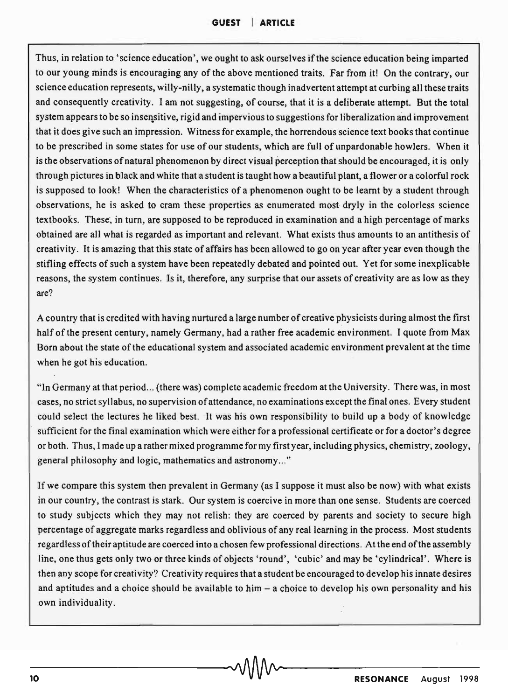Thus, in relation to 'science education', we ought to ask ourselves if the science education being imparted to our young minds is encouraging any of the above mentioned traits. Far from it! On the contrary, our science education represents, willy-nilly, a systematic though inadvertent attempt at curbing all these traits and consequently creativity. I am not suggesting, of course, that it is a deliberate attempt. But the total system appears to be so insensitive, rigid and impervious to suggestions for liberalization and improvement that it does give such an impression. Witness for example, the horrendous science text books that continue to be prescribed in some states for use of our students, which are full of unpardonable howlers. When it is the observations of natural phenomenon by direct visual perception that should be encouraged, it is only through pictures in black and white that a student is taught how a beautiful plant, a flower or a colorful rock is supposed to look! When the characteristics of a phenomenon ought to be learnt by a student through observations, he is asked to cram these properties as enumerated most dryly in the colorless science textbooks. These, in turn, are supposed to be reproduced in examination and a high percentage of marks obtained are all what is regarded as important and relevant. What exists thus amounts to an antithesis of creativity. It is amazing that this state of affairs has been allowed to go on year after year even though the stifling effects of such a system have been repeatedly debated and pointed out. Yet for some inexplicable reasons, the system continues. Is it, therefore, any surprise that our assets of creativity are as low as they are?

A country that is credited with having nurtured a large number of creative physicists during almost the first half of the present century, namely Germany, had a rather free academic environment. I quote from Max Born about the state of the educational system and associated academic environment prevalent at the time when he got his education.

"In Germany at that period ... (there was) complete academic freedom at the University. There was, in most cases, no strict syllabus, no supervision of attendance, no examinations except the final ones. Every student could select the lectures he liked best. It was his own responsibility to build up a body of knowledge sufficient for the final examination which were either for a professional certificate or for a doctor's degree or both. Thus, I made up a rather mixed programme for my first year, including physics, chemistry; zoology, general philosophy and logic, mathematics and astronomy..."

If we compare this system then prevalent in Germany (as I suppose it must also be now) with what exists in our country, the contrast is stark. Our system is coercive in more than one sense. Students are coerced to study subjects which they may not relish: they are coerced by parents and society to secure high percentage of aggregate marks regardless and oblivious of any real learning in the process. Most students regardless of their aptitude are coerced into a chosen few professional directions. At the end ofthe assembly line, one thus gets only two or three kinds of objects 'round', 'cubic' and may be 'cylindrical'. Where is then any scope for creativity? Creativity requires that a student be encouraged to develop his innate desires and aptitudes and a choice should be available to  $him - a$  choice to develop his own personality and his own individuality.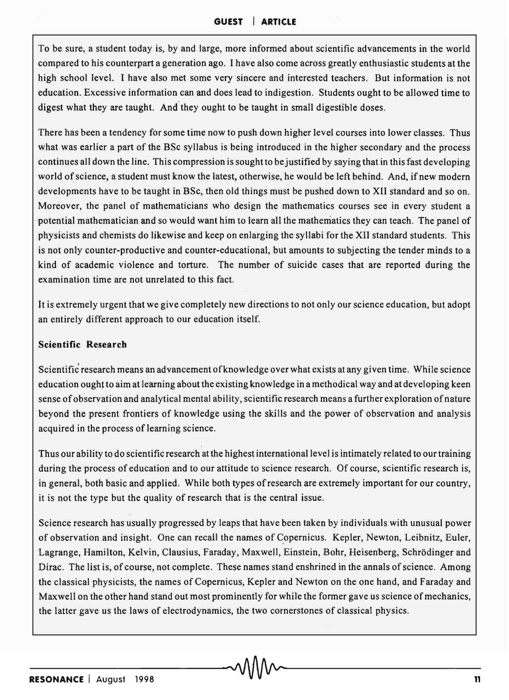To be sure, a student today is, by and large, more informed about scientific advancements in the world compared to his counterpart a generation ago. I have also come across greatly enthusiastic students at the high school level. I have also met some very sincere and interested teachers. But information is not education. Excessive information can and does lead to indigestion. Students ought to be allowed time to digest what they are taught. And'they ought to be taught in small digestible doses.

There has been a tendency for some time now to push down higher level courses into lower classes. Thus what was earlier a part of the BSc syllabus is being introduced in the higher secondary and the process continues all down the line. This compression is sought to be justified by saying that in this fast developing world of science, a student must know the latest, otherwise, he would be left behind. And, ifnew modern developments have to be taught in BSc, then old things must be pushed down to XII standard and so on. Moreover, the panel of mathematicians who design the mathematics courses see in every student a potential mathematician and so would want him to learn all the mathematics they can teach. The panel of physicists and chemists do likewise and keep on enlarging the syllabi for the XII standard students. This is not only counter-productive and counter-educational, but amounts to subjecting the tender minds to a kind of academic violence and torture. The number of suicide cases that are reported during the examination time are not unrelated to this fact.

It is extremely urgent that we give completely new directions to not only our science education, but adopt an entirely different approach to our education itself.

#### **Scientific Research**

Scientific research means an advancement of knowledge over what exists at any given time. While science education oughl to aim at learning about the existing knowledge in a methodical way and at developing keen sense of observation and analytical mental ability, scientific research means a further exploration of nature beyond the present frontiers of knowledge using the skills and the power of observation and analysis acquired in the process of learning science.

Thus our ability to do scientific research at the highest international level is intimately related to our training during the process of education and to our attitude to science research. Of course, scientific research is, in general, both basic and applied. While both types of research are extremely important for our country, it is not the type but the quality of research that is the central issue.

Science research has usually progressed by leaps that have been taken by individuals with unusual power of observation and insight. One can recall the names of Copernicus. Kepler, Newton, Leibnitz, Euler, Lagrange, Hamilton, Kelvin, Clausius, Faraday, Maxwell, Einstein, Bohr, Heisenberg, Schrodinger and Dirac. The list is, of course, not complete. These names stand enshrined in the annals of science. Among the classical physicists, the names of Copernicus, Kepler and Newton on the one hand, and Faraday and Maxwell on the other hand stand out most prominently for while the former gave us science of mechanics, the latter gave us the laws of electrodynamics, the two cornerstones of classical physics.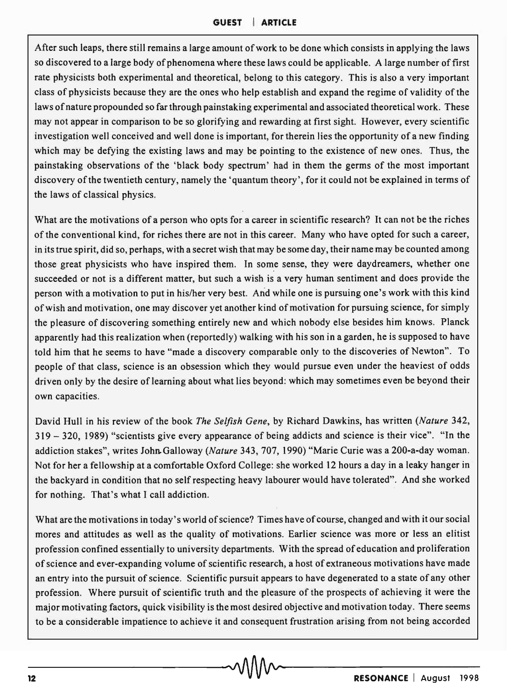After such leaps, there still remains a large amount of work to be done which consists in applying the laws so discovered to a large body of phenomena where these laws could be applicable. A large number of first rate physicists both experimental and theoretical, belong to this category. This is also a very important class of physicists because they are the ones who help establish and expand the regime of validity of the laws of nature propounded so far through painstaking experimental and associated theoretical work. These may not appear in comparison to be so glorifying and rewarding at first sight. However, every scientific investigation well conceived and well done is important, for therein lies the opportunity of a new finding which may be defying the existing laws and may be pointing to the existence of new ones. Thus, the painstaking observations of the 'black body spectrum' had in them the germs of the most important discovery ofthe twentieth century, namely the 'quantum theory', for it could not be explained in terms of the laws of classical physics.

What are the motivations of a person who opts for a career in scientific research? It can not be the riches of the conventional kind, for riches there are not in this career. Many who have opted for such a career, in its true spirit, did so, perhaps, with a secret wish that may be some day, their name may be counted among those great physicists who have inspired them. In some sense, they were daydreamers, whether one succeeded or not is a different matter, but such a wish is a very human sentiment and does provide the person with a motivation to put in his/her very best. And while one is pursuing one's work with this kind of wish and motivation, one may discover yet another kind of motivation for pursuing science, for simply the pleasure of discovering something entirely new and which nobody else besides him knows. Planck apparently had this realization when (reportedly) walking with his son in a garden, he is supposed to have told him that he seems to have "made a discovery comparable only to the discoveries of Newton". To people of that class, science is an obsession which they would pursue even under the heaviest of odds driven only by the desire of learning about what lies beyond: which may sometimes even be beyond their own capacities.

David Hull in his review of the book *The Selfish Gene,* by Richard Dawkins, has written *(Nature 342,*  319 - 320, 1989) "scientists give every appearance of being addicts and science is their vice". "In the addiction stakes", writes John. Galloway *(Nature* 343, 707, 1990) "Marie Curie was a 200-a-day woman. Not for her a fellowship at a comfortable Oxford College: she worked 12 hours a day in a leaky hanger in the backyard in condition that no self respecting heavy labourer would have tolerated". And she worked for nothing. That's what I call addiction.

What are the motivations in today's world of science? Times have of course, changed and with it our social mores and attitudes as well as the quality of motivations. Earlier science was more or less an elitist profession confined essentially to university departments. With the spread of education and proliferation of science and ever-expanding volume of scientific research, a host of extraneous motivations have made an entry into the pursuit of science. Scientific pursuit appears to have degenerated to a state of any other profession. Where pursuit of scientific truth and the pleasure of the prospects of achieving it were the major motivating factors, quick visibility is the most desired objective and motivation today. There seems to be a considerable impatience to achieve it and consequent frustration arising from not being accorded